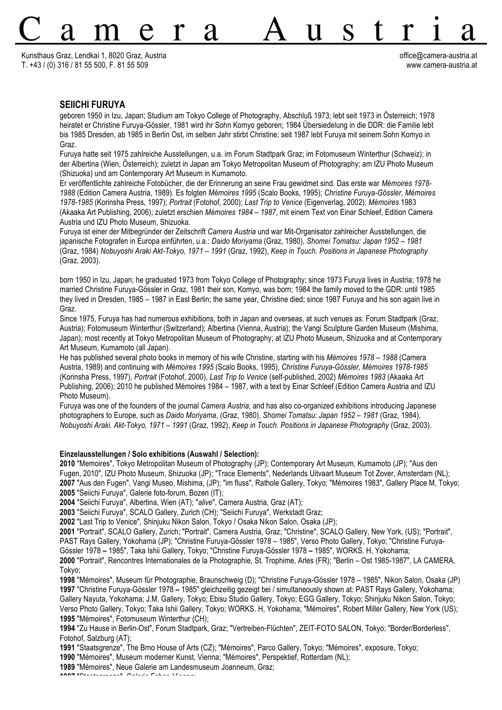Kunsthaus Graz, Lendkai 1, 8020 Graz, Austria office@camera-austria.at T. +43 / (0) 316 / 81 55 500, F. 81 55 509 www.camera-austria.at

## **SEIICHI FURUYA**

geboren 1950 in Izu, Japan; Studium am Tokyo College of Photography, Abschluß 1973; lebt seit 1973 in Österreich; 1978 heiratet er Christine Furuya-Gössler, 1981 wird ihr Sohn Komyo geboren; 1984 Übersiedelung in die DDR: die Familie lebt bis 1985 Dresden, ab 1985 in Berlin Ost, im selben Jahr stirbt Christine; seit 1987 lebt Furuya mit seinem Sohn Komyo in Graz.

11

Furuya hatte seit 1975 zahlreiche Ausstellungen, u.a. im Forum Stadtpark Graz; im Fotomuseum Winterthur (Schweiz); in der Albertina (Wien, Österreich); zuletzt in Japan am Tokyo Metropolitan Museum of Photography; am IZU Photo Museum (Shizuoka) und am Contemporary Art Museum in Kumamoto.

Er veröffentlichte zahlreiche Fotobücher, die der Erinnerung an seine Frau gewidmet sind. Das erste war *Mémoires 1978- 1988* (Edition Camera Austria, 1989). Es folgten *Mémoires 1995* (Scalo Books, 1995); *Christine Furuya-Gössler, Mémoires 1978-1985* (Korinsha Press, 1997); *Portrait* (Fotohof, 2000); *Last Trip to Venice* (Eigenverlag, 2002); *Mémoires* 1983 (Akaaka Art Publishing, 2006); zuletzt erschien *Mémoires 1984 – 1987*, mit einem Text von Einar Schleef, Edition Camera Austria und IZU Photo Museum, Shizuoka.

Furuya ist einer der Mitbegründer der Zeitschrift *Camera Austria* und war Mit-Organisator zahlreicher Ausstellungen, die japanische Fotografen in Europa einführten, u.a.: *Daido Moriyama* (Graz, 1980), *Shomei Tomatsu: Japan 1952 – 1981* (Graz, 1984) *Nobuyoshi Araki Akt-Tokyo, 1971 – 1991* (Graz, 1992), *Keep in Touch. Positions in Japanese Photography* (Graz, 2003).

born 1950 in Izu, Japan; he graduated 1973 from Tokyo College of Photography; since 1973 Furuya lives in Austria; 1978 he married Christine Furuya-Gössler in Graz, 1981 their son, Komyo, was born; 1984 the family moved to the GDR: until 1985 they lived in Dresden, 1985 – 1987 in East Berlin; the same year, Christine died; since 1987 Furuya and his son again live in Graz.

Since 1975, Furuya has had numerous exhibitions, both in Japan and overseas, at such venues as: Forum Stadtpark (Graz, Austria); Fotomuseum Winterthur (Switzerland); Albertina (Vienna, Austria); the Vangi Sculpture Garden Museum (Mishima, Japan); most recently at Tokyo Metropolitan Museum of Photography; at IZU Photo Museum, Shizuoka and at Contemporary Art Museum, Kumamoto (all Japan).

He has published several photo books in memory of his wife Christine, starting with his *Mémoires 1978 – 1988* (Camera Austria, 1989) and continuing with *Mémoires 1995* (Scalo Books, 1995), *Christine Furuya-Gössler, Mémoires 1978-1985*  (Korinsha Press, 1997), *Portrait* (Fotohof, 2000), *Last Trip to Venice* (self-published, 2002) *Mémoires 1983* (Akaaka Art Publishing, 2006); 2010 he published Mémoires 1984 – 1987, with a text by Einar Schleef (Edition Camera Austria and IZU Photo Museum).

Furuya was one of the founders of the journal *Camera Austria*, and has also co-organized exhibitions introducing Japanese photographers to Europe, such as *Daido Moriyama*, (Graz, 1980), *Shomei Tomatsu: Japan 1952 – 1981* (Graz, 1984), *Nobuyoshi Araki. Akt-Tokyo, 1971 – 1991* (Graz, 1992), *Keep in Touch. Positions in Japanese Photography* (Graz, 2003).

## **Einzelausstellungen / Solo exhibitions (Auswahl / Selection):**

 "Memoires", Tokyo Metropolitan Museum of Photography (JP); Contemporary Art Museum, Kumamoto (JP); "Aus den Fugen, 2010", IZU Photo Museum, Shizuoka (JP); "Trace Elements", Nederlands Uitvaart Museum Tot Zover, Amsterdam (NL); "Aus den Fugen", Vangi Museo, Mishima, (JP); "im fluss", Rathole Gallery, Tokyo; "Mémoires 1983", Gallery Place M, Tokyo; "Seiichi Furuya", Galerie foto-forum, Bozen (IT);

**2004** "Seiichi Furuya", Albertina, Wien (AT); "*alive*", Camera Austria, Graz (AT);

**2003** "Seiichi Furuya", SCALO Gallery, Zurich (CH); "Seiichi Furuya", Werkstadt Graz;

**2002** "Last Trip to Venice", Shinjuku Nikon Salon, Tokyo / Osaka Nikon Salon, Osaka (JP);

**2001** "Portrait", SCALO Gallery, Zurich; "Portrait", Camera Austria, Graz; "Christine", SCALO Gallery, New York, (US); "Portrait", PAST Rays Gallery, Yokohama (JP); "Christine Furuya-Gössler 1978 *–* 1985", Verso Photo Gallery, Tokyo; "Christine Furuya-Gössler 1978 *–* 1985", Taka Ishii Gallery, Tokyo; "Christine Furuya-Gössler 1978 *–* 1985", WORKS. H, Yokohama; **2000** "Portrait", Rencontres Internationales de la Photographie, St. Trophime, Arles (FR); "Berlin *–* Ost 1985-1987", LA CAMERA,

Tokyo;

**1998** "Mémoires", Museum für Photographie, Braunschweig (D); "Christine Furuya-Gössler 1978 *–* 1985", Nikon Salon, Osaka (JP) **1997** "Christine Furuya-Gössler 1978 *–* 1985" gleichzeitig gezeigt bei / simultaneously shown at: PAST Rays Gallery, Yokohama; Gallery Nayuta, Yokohama; J.M. Gallery, Tokyo; Ebisu Studio Gallery, Tokyo; EGG Gallery, Tokyo; Shinjuku Nikon Salon, Tokyo; Verso Photo Gallery, Tokyo; Taka Ishii Gallery, Tokyo; WORKS. H, Yokohama; "Mémoires", Robert Miller Gallery, New York (US); **1995** "Mémoires", Fotomuseum Winterthur (CH);

**1994** "Zu Hause in Berlin-Ost", Forum Stadtpark, Graz; "Vertreiben-Flüchten", ZEIT-FOTO SALON, Tokyo; "Border/Borderless", Fotohof, Salzburg (AT);

**1991** "Staatsgrenze", The Brno House of Arts (CZ); "Mémoires", Parco Gallery, Tokyo; "Mémoires", exposure, Tokyo;

**1990** "Mémoires", Museum moderner Kunst, Vienna; "Mémoires", Perspektief, Rotterdam (NL);

**1989** "Mémoires", Neue Galerie am Landesmuseum Joanneum, Graz;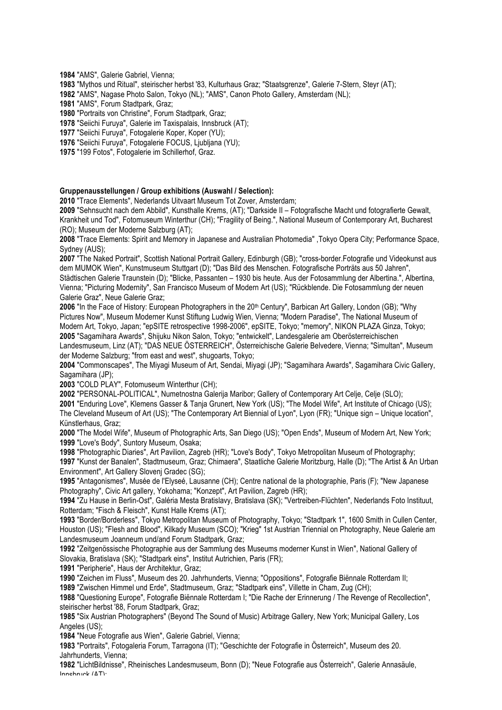**1984** "AMS", Galerie Gabriel, Vienna;

**1983** "Mythos und Ritual", steirischer herbst '83, Kulturhaus Graz; "Staatsgrenze", Galerie 7-Stern, Steyr (AT);

**1982** "AMS", Nagase Photo Salon, Tokyo (NL); "AMS", Canon Photo Gallery, Amsterdam (NL);

**1981** "AMS", Forum Stadtpark, Graz;

**1980** "Portraits von Christine", Forum Stadtpark, Graz;

**1978** "Seiichi Furuya", Galerie im Taxispalais, Innsbruck (AT);

**1977** "Seiichi Furuya", Fotogalerie Koper, Koper (YU);

**1976** "Seiichi Furuya", Fotogalerie FOCUS, Ljubljana (YU);

**1975** "199 Fotos", Fotogalerie im Schillerhof, Graz.

## **Gruppenausstellungen / Group exhibitions (Auswahl / Selection):**

**2010** "Trace Elements", Nederlands Uitvaart Museum Tot Zover, Amsterdam;

**2009** "Sehnsucht nach dem Abbild", Kunsthalle Krems, (AT); "Darkside II – Fotografische Macht und fotografierte Gewalt, Krankheit und Tod", Fotomuseum Winterthur (CH); "Fragility of Being.", National Museum of Contemporary Art, Bucharest (RO); Museum der Moderne Salzburg (AT);

**2008** "Trace Elements: Spirit and Memory in Japanese and Australian Photomedia" ,Tokyo Opera City; Performance Space, Sydney (AUS);

**2007** "The Naked Portrait", Scottish National Portrait Gallery, Edinburgh (GB); "cross-border.Fotografie und Videokunst aus dem MUMOK Wien", Kunstmuseum Stuttgart (D); "Das Bild des Menschen. Fotografische Porträts aus 50 Jahren", Städtischen Galerie Traunstein (D); "Blicke, Passanten *–* 1930 bis heute. Aus der Fotosammlung der Albertina.", Albertina, Vienna; "Picturing Modernity", San Francisco Museum of Modern Art (US); "Rückblende. Die Fotosammlung der neuen

Galerie Graz", Neue Galerie Graz;

2006 "In the Face of History: European Photographers in the 20<sup>th</sup> Century", Barbican Art Gallery, London (GB); "Why Pictures Now", Museum Moderner Kunst Stiftung Ludwig Wien, Vienna; "Modern Paradise", The National Museum of Modern Art, Tokyo, Japan; "epSITE retrospective 1998-2006", epSITE, Tokyo; "memory", NIKON PLAZA Ginza, Tokyo; **2005** "Sagamihara Awards", Shijuku Nikon Salon, Tokyo; "entwickelt", Landesgalerie am Oberösterreichischen

Landesmuseum, Linz (AT); "DAS NEUE ÖSTERREICH", Österreichische Galerie Belvedere, Vienna; "Simultan", Museum der Moderne Salzburg; "from east and west", shugoarts, Tokyo;

**2004** "Commonscapes", The Miyagi Museum of Art, Sendai, Miyagi (JP); "Sagamihara Awards", Sagamihara Civic Gallery, Sagamihara (JP);

**2003** "COLD PLAY", Fotomuseum Winterthur (CH);

**2002** "PERSONAL-POLITICAL", Numetnostna Galerija Maribor; Gallery of Contemporary Art Celje, Celje (SLO);

**2001** "Enduring Love", Klemens Gasser & Tanja Grunert, New York (US); "The Model Wife", Art Institute of Chicago (US); The Cleveland Museum of Art (US); "The Contemporary Art Biennial of Lyon", Lyon (FR); "Unique sign – Unique location", Künstlerhaus, Graz;

**2000** "The Model Wife", Museum of Photographic Arts, San Diego (US); "Open Ends", Museum of Modern Art, New York; **1999** "Love's Body", Suntory Museum, Osaka;

**1998** "Photographic Diaries", Art Pavilion, Zagreb (HR); "Love's Body", Tokyo Metropolitan Museum of Photography; **1997** "Kunst der Banalen", Stadtmuseum, Graz; Chimaera", Staatliche Galerie Moritzburg, Halle (D); "The Artist & An Urban Environment", Art Gallery Slovenj Gradec (SG);

**1995** "Antagonismes", Musée de l'Elyseé, Lausanne (CH); Centre national de la photographie, Paris (F); "New Japanese Photography", Civic Art gallery, Yokohama; "Konzept", Art Pavilion, Zagreb (HR);

**1994** "Zu Hause in Berlin-Ost", Galéria Mesta Bratislavy, Bratislava (SK); "Vertreiben-Flüchten", Nederlands Foto Instituut, Rotterdam; "Fisch & Fleisch", Kunst Halle Krems (AT);

**1993** "Border/Borderless", Tokyo Metropolitan Museum of Photography, Tokyo; "Stadtpark 1", 1600 Smith in Cullen Center, Houston (US); "Flesh and Blood", Kilkady Museum (SCO); "Krieg" 1st Austrian Triennial on Photography, Neue Galerie am Landesmuseum Joanneum und/and Forum Stadtpark, Graz;

**1992** "Zeitgenössische Photographie aus der Sammlung des Museums moderner Kunst in Wien", National Gallery of Slovakia, Bratislava (SK); "Stadtpark eins", Institut Autrichien, Paris (FR);

**1991** "Peripherie", Haus der Architektur, Graz;

**1990** "Zeichen im Fluss", Museum des 20. Jahrhunderts, Vienna; "Oppositions", Fotografie Biënnale Rotterdam II;

**1989** "Zwischen Himmel und Erde", Stadtmuseum, Graz; "Stadtpark eins", Villette in Cham, Zug (CH);

**1988** "Questioning Europe", Fotografie Biënnale Rotterdam I; "Die Rache der Erinnerung / The Revenge of Recollection", steirischer herbst '88, Forum Stadtpark, Graz;

**1985** "Six Austrian Photographers" (Beyond The Sound of Music) Arbitrage Gallery, New York; Municipal Gallery, Los Angeles (US);

**1984** "Neue Fotografie aus Wien", Galerie Gabriel, Vienna;

**1983** "Portraits", Fotogaleria Forum, Tarragona (IT); "Geschichte der Fotografie in Österreich", Museum des 20. Jahrhunderts, Vienna;

**1982** "LichtBildnisse", Rheinisches Landesmuseum, Bonn (D); "Neue Fotografie aus Österreich", Galerie Annasäule, Innsbruck (AT);